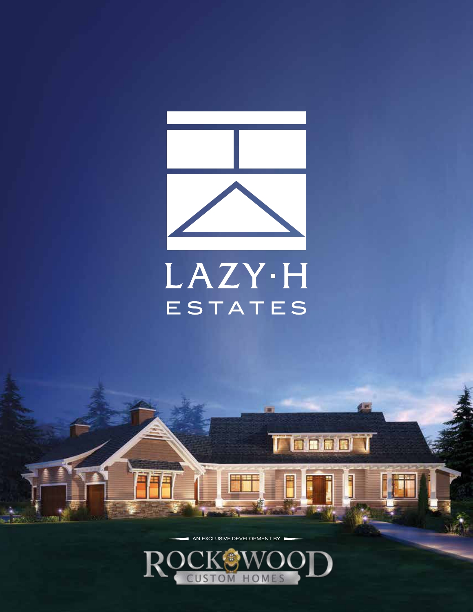

# LAZY·H ESTATES

(m)

 $4<sup>2</sup>$ 

**FEEDING** 

AN EXCLUSIVE DEVELOPMENT BY

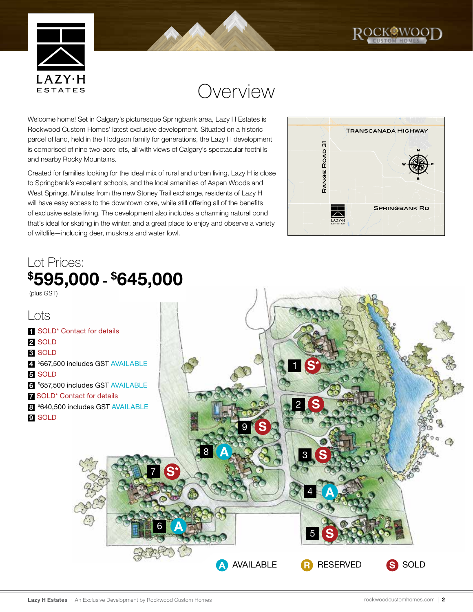



### Overview

Welcome home! Set in Calgary's picturesque Springbank area, Lazy H Estates is Rockwood Custom Homes' latest exclusive development. Situated on a historic parcel of land, held in the Hodgson family for generations, the Lazy H development is comprised of nine two-acre lots, all with views of Calgary's spectacular foothills and nearby Rocky Mountains.

Created for families looking for the ideal mix of rural and urban living, Lazy H is close to Springbank's excellent schools, and the local amenities of Aspen Woods and West Springs. Minutes from the new Stoney Trail exchange, residents of Lazy H will have easy access to the downtown core, while still offering all of the benefits of exclusive estate living. The development also includes a charming natural pond that's ideal for skating in the winter, and a great place to enjoy and observe a variety of wildlife—including deer, muskrats and water fowl.

#### Lot Prices: \$595,000 - \$645,000



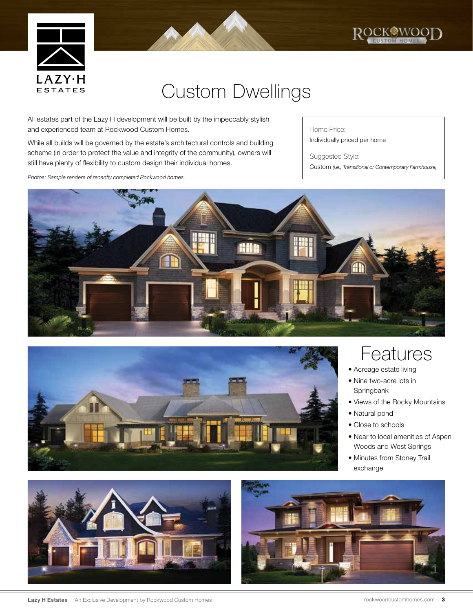



All estates part of the Lazy H development will be built by the impeccably stylish and experienced team at Rockwood Custom Homes.

While all builds will be governed by the estate's architectural controls and building scheme (in order to protect the value and integrity of the community), owners will still have plenty of flexibility to custom design their individual homes.

*Photos: Sample renders of recently completed Rockwood homes.*

Home Price: Individually priced per home

Suggested Style: Custom *(i.e., Transitional or Contemporary Farmhouse)* 

ROCKOWOOD





#### Features

- Acreage estate living
- Nine two-acre lots in Springbank
- Views of the Rocky Mountains
- Natural pond
- Close to schools
- Near to local amenities of Aspen Woods and West Springs
- Minutes from Stoney Trail exchange





Lazy H Estates • An Exclusive Development by Rockwood Custom Homes rockwoodcustom in the rockwoodcustomhomes.com | 3